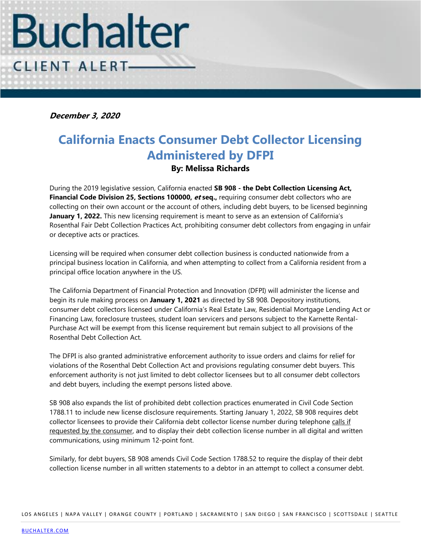

**December 3, 2020**

## **California Enacts Consumer Debt Collector Licensing Administered by DFPI**

## **By: Melissa Richards**

During the 2019 legislative session, California enacted **SB 908 - the Debt Collection Licensing Act, Financial Code Division 25, Sections 100000, et seq.,** requiring consumer debt collectors who are collecting on their own account or the account of others, including debt buyers, to be licensed beginning **January 1, 2022.** This new licensing requirement is meant to serve as an extension of California's Rosenthal Fair Debt Collection Practices Act, prohibiting consumer debt collectors from engaging in unfair or deceptive acts or practices.

Licensing will be required when consumer debt collection business is conducted nationwide from a principal business location in California, and when attempting to collect from a California resident from a principal office location anywhere in the US.

The California Department of Financial Protection and Innovation (DFPI) will administer the license and begin its rule making process on **January 1, 2021** as directed by SB 908. Depository institutions, consumer debt collectors licensed under California's Real Estate Law, Residential Mortgage Lending Act or Financing Law, foreclosure trustees, student loan servicers and persons subject to the Karnette Rental-Purchase Act will be exempt from this license requirement but remain subject to all provisions of the Rosenthal Debt Collection Act.

The DFPI is also granted administrative enforcement authority to issue orders and claims for relief for violations of the Rosenthal Debt Collection Act and provisions regulating consumer debt buyers. This enforcement authority is not just limited to debt collector licensees but to all consumer debt collectors and debt buyers, including the exempt persons listed above.

SB 908 also expands the list of prohibited debt collection practices enumerated in Civil Code Section 1788.11 to include new license disclosure requirements. Starting January 1, 2022, SB 908 requires debt collector licensees to provide their California debt collector license number during telephone calls if requested by the consumer, and to display their debt collection license number in all digital and written communications, using minimum 12-point font.

Similarly, for debt buyers, SB 908 amends Civil Code Section 1788.52 to require the display of their debt collection license number in all written statements to a debtor in an attempt to collect a consumer debt.